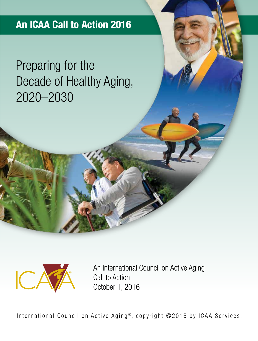### **An ICAA Call to Action 2016**

## Preparing for the Decade of Healthy Aging, 2020–2030



An International Council on Active Aging Call to Action October 1, 2016

International Council on Active Aging<sup>®</sup>, copyright ©2016 by ICAA Services.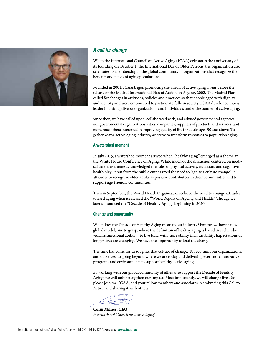

### *A call for change*

When the International Council on Active Aging (ICAA) celebrates the anniversary of its founding on October 1, the International Day of Older Persons, the organization also celebrates its membership in the global community of organizations that recognize the benefits and needs of aging populations.

Founded in 2001, ICAA began promoting the vision of active aging a year before the release of the Madrid International Plan of Action on Ageing, 2002. The Madrid Plan called for changes in attitudes, policies and practices so that people aged with dignity and security and were empowered to participate fully in society. ICAA developed into a leader in uniting diverse organizations and individuals under the banner of active aging.

Since then, we have called upon, collaborated with, and advised governmental agencies, nongovernmental organizations, cities, companies, suppliers of products and services, and numerous others interested in improving quality of life for adults ages 50 and above. Together, as the active-aging industry, we strive to transform responses to population aging.

### **A watershed moment**

In July 2015, a watershed moment arrived when "healthy aging" emerged as a theme at the White House Conference on Aging. While much of the discussion centered on medical care, this theme acknowledged the roles of physical activity, nutrition, and cognitive health play. Input from the public emphasized the need to "ignite a culture change" in attitudes to recognize older adults as positive contributors in their communities and to support age-friendly communities.

Then in September, the World Health Organization echoed the need to change attitudes toward aging when it released the "World Report on Ageing and Health." The agency later announced the "Decade of Healthy Aging" beginning in 2020.

### **Change and opportunity**

What does the Decade of Healthy Aging mean to our industry? For me, we have a new global model, one to grasp, where the definition of healthy aging is based in each individual's functional ability—to live fully, with more ability than disability. Expectations of longer lives are changing. We have the opportunity to lead the charge.

The time has come for us to ignite that culture of change. To recommit our organizations, and ourselves, to going beyond where we are today and delivering ever-more innovative programs and environments to support healthy, active aging.

By working with our global community of allies who support the Decade of Healthy Aging, we will only strengthen our impact. Most importantly, we will change lives. So please join me, ICAA, and your fellow members and associates in embracing this Call to Action and sharing it with others.

Colin Milner, CEO *International Council on Active Aging*®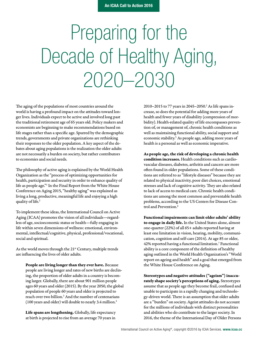# Preparing for the Decade of Healthy Aging, 2020–2030

The aging of the populations of most countries around the world is having a profound impact on the attitudes toward longer lives. Individuals expect to be active and involved long past the traditional retirement age of 65 years old. Policy makers and economists are beginning to make recommendations based on life stages rather than a specific age. Spurred by the demographic trends, governments and private organizations are rethinking their responses to the older population. A key aspect of the debates about aging populations is the realization the older adults are not necessarily a burden on society, but rather contributors to economies and social needs.

The philosophy of active aging is explained by the World Health Organization as the "process of optimizing opportunities for health, participation and security in order to enhance quality of life as people age."1 In the Final Report from the White House Conference on Aging 2015, "healthy aging" was explained as living a long, productive, meaningful life and enjoying a high quality of life.<sup>2</sup>

To implement these ideas, the International Council on Active Aging (ICAA) promotes the vision of all individuals—regardless of age, socioeconomic status or health—fully engaging in life within seven dimensions of wellness: emotional, environmental, intellectual/cognitive, physical, professional/vocational, social and spiritual.

As the world moves through the 21<sup>st</sup> Century, multiple trends are influencing the lives of older adults.

People are living longer than they ever have. Because people are living longer and rates of new births are declining, the proportion of older adults in a country is becoming larger. Globally, there are about 901 million people ages 60 years and older (2015). By the year 2050, the global population of people 60 years and older is projected to reach over two billion.<sup>3</sup> And the number of centenarians (100 years and older) will double to nearly 3.4 million.4

Life spans are lengthening. Globally, life expectancy at birth is projected to rise from an average 70 years in

2010-2015 to 77 years in 2045-2050.<sup>2</sup> As life spans increase, so does the potential for adding more years of health and fewer years of disability (compression of morbidity). Health-related quality of life encompasses prevention of, or management of, chronic health conditions as well as maintaining functional ability, social support and economic stability.<sup>5</sup> As people age, adding more years of health is a personal as well as economic imperative.

As people age, the risk of developing a chronic health condition increases. Health conditions such as cardiovascular diseases, diabetes, arthritis and cancers are more often found in older populations. Some of these conditions are referred to as "lifestyle diseases" because they are related to physical inactivity, poor diet choices, emotional stresses and lack of cognitive activity. They are also related to lack of access to medical care. Chronic health conditions are among the most common and preventable health problems, according to the US Centers for Disease Control and Prevention.<sup>6</sup>

Functional impairments can limit older adults' ability to engage in daily life. In the United States alone, almost one-quarter (22%) of all 65+ adults reported having at least one limitation in vision, hearing, mobility, communication, cognition and self-care (2014). At age 85 or older, 42% reported having a functional limitation.7 Functional ability is a core component of the definition of healthy aging outlined in the World Health Organization's "World report on ageing and health" and a goal that emerged from the White House Conference on Aging.

Stereotypes and negative attitudes ("ageism") inaccurately shape society's perceptions of aging. Stereotypes assume that as people age they become frail, confused and unable to participate in a rapidly changing and technology-driven world. There is an assumption that older adults are a "burden" on society. Ageist attitudes do not account for the millions of individuals with distinct personalities and abilities who do contribute to the larger society. In 2016, the theme of the International Day of Older Persons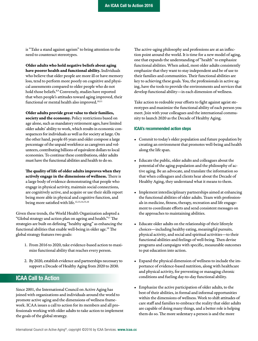is "Take a stand against ageism" to bring attention to the need to counteract stereotypes.

Older adults who hold negative beliefs about aging have poorer health and functional ability. Individuals who believe that older people are more ill or have memory loss, tend to perform more poorly on cognitive and physical assessments compared to older people who do not hold those beliefs.<sup>8,9</sup> Conversely, studies have reported that when people's attitudes toward aging improved, their functional or mental health also improved.<sup>10,11</sup>

Older adults provide great value to their families,

society and the economy. Policy restrictions based on age alone, such as mandatory retirement ages, have limited older adults' ability to work, which results in economic consequences for individuals as well as for society at large. On the other hand, people 65 years and older compose a large percentage of the unpaid workforce as caregivers and volunteers, contributing billions of equivalent dollars to local economies. To continue these contributions, older adults must have the functional abilities and health to do so.

The quality of life of older adults improves when they actively engage in the dimensions of wellness. There is a large body of evidence demonstrating that people who engage in physical activity, maintain social connections, are cognitively active, and acquire or use their skills report being more able in physical and cognitive function, and being more satisfied with life.<sup>12,13,14,15,16</sup>

Given these trends, the World Health Organization adopted a "Global strategy and action plan on ageing and health."17 The strategies are built on defining "healthy aging" as enhancing the functional abilities that enable well-being in older age.18 The global strategy features two goals:

- 1. From 2016 to 2020, take evidence-based action to maximize functional ability that reaches every person.
- 2. By 2020, establish evidence and partnerships necessary to support a Decade of Healthy Aging from 2020 to 2030.

### **ICAA Call to Action**

Since 2001, the International Council on Active Aging has joined with organizations and individuals around the world to promote active aging and the dimensions of wellness framework. ICAA issues a call to action for its members and all professionals working with older adults to take action to implement the goals of the global strategy.

The active-aging philosophy and professions are at an inflection point around the world. It is time for a new model of aging, one that expands the understanding of "health" to emphasize functional abilities. When asked, most older adults consistently emphasize that they want to stay independent and be of use to their families and communities. Their functional abilities are key to achieving these goals. You, the professionals in active aging, have the tools to provide the environments and services that develop functional ability—in each dimension of wellness.

Take action to redouble your efforts to fight against ageist stereotypes and maximize the functional ability of each person you meet. Join with your colleagues and the international community to launch 2020 as the Decade of Healthy Aging.

#### **ICAA's recommended action steps**

- Commit to today's older population and future population by creating an environment that promotes well-being and health along the life span.
- Educate the public, older adults and colleagues about the potential of the aging population and the philosophy of active aging. Be an advocate, and translate the information so that when colleagues and clients hear about the Decade of Healthy Aging, they understand what it means to them.
- Implement interdisciplinary partnerships aimed at enhancing the functional abilities of older adults. Team with professionals in medicine, fitness, therapy, recreation and life engagement to coordinate efforts and send consistent messages on the approaches to maintaining abilities.
- Educate older adults on the relationship of their lifestyle choices—including healthy eating, meaningful pursuits, physical activity, and social and spiritual activities—to their functional abilities and feelings of well-being. Then devise programs and campaigns with specific, measurable outcomes to put education into action.
- Expand the physical dimension of wellness to include the importance of evidence-based nutrition, along with healthcare and physical activity, for preventing or managing chronic conditions and fueling day-to-day functional ability.
- Emphasize the active participation of older adults, to the best of their abilities, in formal and informal opportunities within the dimensions of wellness. Work to shift attitudes of care staff and families to embrace the reality that older adults are capable of doing many things, and a better role is helping them do so. The more sedentary a person is and the more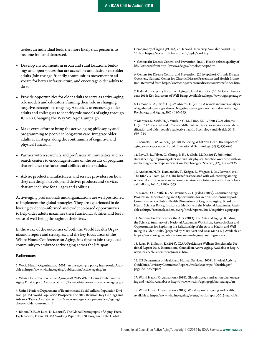useless an individual feels, the more likely that person is to become frail and depressed.

- Develop environments in urban and rural locations, buildings and open spaces that are accessible and desirable to older adults. Join the age-friendly communities movement to advocate for better infrastructure, and encourage older adults to do so.
- Provide opportunities for older adults to serve as active-aging role models and educators, framing their role in changing negative perceptions of aging. A tactic is to encourage older adults and colleagues to identify role models of aging through ICAA's Changing the Way We Age® Campaign.
- Make extra effort to bring the active-aging philosophy and programming to people in long-term care. Integrate older adults at all stages along the continuums of cognitive and physical function.
- Partner with researchers and professors at universities and research centers to encourage studies on the results of programs that enhance the functional abilities of older adults.
- Advise product manufacturers and service providers on how they can design, develop and deliver products and services that are inclusive for all ages and abilities.

Active-aging professionals and organizations are well positioned to implement the global strategies. They are experienced in delivering evidence-informed and evidence-based opportunities to help older adults maximize their functional abilities and feel a sense of well-being throughout their lives.

In the wake of the outcomes of both the World Health Organization report and strategies, and the key focus areas of the White House Conference on Aging, it is time to join the global community to embrace active aging across the life span.

### References

1. World Health Organization. (2002). Active ageing: a policy framework. Available at http://www.who.int/ageing/publications/active\_ageing/en

2. White House Conference on Aging staff. 2015 White House Conference on Aging Final Report. Available at http://www.whitehouseconferenceonaging.gov

3. United Nations Department of Economic and Social Affairs/Population Division. (2015). World Population Prospects: The 2015 Revision, Key Findings and Advance Tables. Available at https://www.un.org/development/desa/ageing/ data-on-older-persons.html

4. Bloom, D. E., & Luca, D. L. (2016). The Global Demography of Aging. Facts, Explanations, Future. PGDA Working Paper No. 130. Program on the Global

Demography of Aging (PGDA) at Harvard University. Available August 12, 2016, at https://www.hsph.harvard.edu/pgda/working

5. Centers for Disease Control and Prevention. (n.d.). Health-related quality of life. Retrieved from http://www.cdc.gov/hrqol/concept.htm

6. Centers for Disease Control and Prevention. (2016 update). Chronic Disease Overview, National Center for Chronic Disease Prevention and Health Promotion. Retrieved from http://www.cdc.gov/chronicdisease/overview/index.htm.

7. Federal Interagency Forum on Aging-Related Statistics. (2016). Older Americans 2016: Key Indicators of Well-Being. Available at http://www.agingstats.gov

8. Lamont, R. A., Swift, H. J., & Abrams, D. (2015). A review and meta-analysis of age-based stereotype threat: Negative stereotypes, not facts, do the damage. Psychology and Aging, 30(1), 180–193.

9. Marques, S., Swift, H. J., Vauclair, C. M., Lima, M. L., Bratt C., & Abrams, D. (2015). "Being old and ill" across different countries: social status, age identification and older people's subjective health. Psychology and Health, 30(6), 699–714.

10. Bennett, T., & Gaines, J. (2010). Believing What You Hear: The Impact of aging stereotypes upon the old. Educational Gerontology, 36(5), 435–445.

11. Levy, B. R., Pilver, C., Chung, P. H., & Slade, M. D. (2014). Subliminal strengthening: improving older individuals' physical function over time with an implicit-age-stereotype intervention. Psychological Science, (12), 2127–2135.

12. Anderson, N. D., Damianakis, T., Kröger, E., Wagner, L. M., Dawson, et al. The BRAVO Team. (2014). The benefits associated with volunteering among seniors: A critical review and recommendations for future research. Psychological Bulletin, 140(6), 1505–1533.

13. Blazer, D. G., Yaffe, K., & Liverman, C. T. (Eds.). (2015). Cognitive Aging: Progress in Understanding and Opportunities for Action. Consensus Report. Committee on the Public Health Dimensions of Cognitive Aging, Board on Health Sciences Policy, Institute of Medicine of the National Academies. Available at http://nationalacademies.org/hmd/reports/2015/cognitive-aging.aspx

14. National Endowment for the Arts. (2013). The Arts and Aging: Building the Science. Summary of a National Academies Workshop, Research Gaps and Opportunities for Exploring the Relationship of the Arts to Health and Well-Being in Older Adults. [prepared by Mary Kent and Rose Maria Li]. Available at https://www.arts.gov/publications/arts-and-aging-building-science

15. Ryan, P., & Smith, E. (2015). ICAA/ProMatura Wellness Benchmarks National Report 2015. International Council on Active Aging. Available at http:// www.icaa.cc/business/benchmarks.htm

16. US Department of Health and Human Services. (2008). Physical Activity Guidelines Advisory Committee Report. Available at https://health.gov/ paguidelines/report

17. World Health Organization. (2016). Global strategy and action plan on ageing and health. Available at http://www.who.int/ageing/global-strategy/en

18. World Health Organization. (2015). World report on ageing and health. Available at http://www.who.int/ageing/events/world-report-2015-launch/en